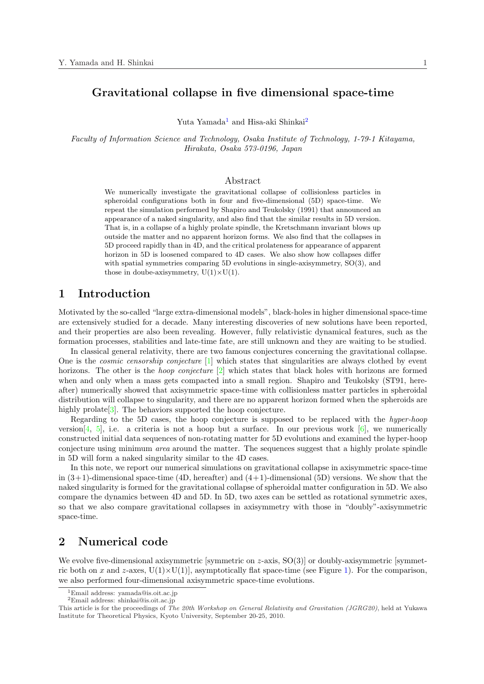# **Gravitational collapse in five dimensional space-time**

Yuta Yamada<sup>1</sup> and Hisa-aki Shinkai<sup>2</sup>

*Faculty of Information Science and Technology, Osaka Institute of Technology, 1-79-1 Kitayama, Hirakata, Osaka 573-0196, Japan*

#### Abstract

We numerically investigate the gravitational collapse of collisionless particles in spheroidal configurations both in four and five-dimensional (5D) space-time. We repeat the simulation performed by Shapiro and Teukolsky (1991) that announced an appearance of a naked singularity, and also find that the similar results in 5D version. That is, in a collapse of a highly prolate spindle, the Kretschmann invariant blows up outside the matter and no apparent horizon forms. We also find that the collapses in 5D proceed rapidly than in 4D, and the critical prolateness for appearance of apparent horizon in 5D is loosened compared to 4D cases. We also show how collapses differ with spatial symmetries comparing 5D evolutions in single-axisymmetry, SO(3), and those in doube-axisymmetry,  $U(1)\times U(1)$ .

#### **1 Introduction**

Motivated by the so-called "large extra-dimensional models", black-holes in higher dimensional space-time are extensively studied for a decade. Many interesting discoveries of new solutions have been reported, and their properties are also been revealing. However, fully relativistic dynamical features, such as the formation processes, stabilities and late-time fate, are still unknown and they are waiting to be studied.

In classical general relativity, there are two famous conjectures concerning the gravitational collapse. One is the *cosmic censorship conjecture* [1] which states that singularities are always clothed by event horizons. The other is the *hoop conjecture* [2] which states that black holes with horizons are formed when and only when a mass gets compacted into a small region. Shapiro and Teukolsky (ST91, hereafter) numerically showed that axisymmetric space-time with collisionless matter particles in spheroidal distribution will collapse to singularity, a[nd](#page-3-0) there are no apparent horizon formed when the spheroids are highly prolate  $[3]$ . T[he](#page-3-0) behaviors supported the hoop conjecture.

Regarding to the 5D cases, the hoop conjecture is supposed to be replaced with the *hyper-hoop* version [4, 5], i.e. a criteria is not a hoop but a surface. In our previous work  $[6]$ , we numerically constructed initial data sequences of non-rotating matter for 5D evolutions and examined the hyper-hoop conjecture usi[ng](#page-3-0) minimum *area* around the matter. The sequences suggest that a highly prolate spindle in 5D will form a naked singularity similar to the 4D cases.

In t[his no](#page-3-0)te, we report our numerical simulations on gravitational collapse in axisy[m](#page-3-0)metric space-time in  $(3+1)$ -dimensional space-time (4D, hereafter) and  $(4+1)$ -dimensional (5D) versions. We show that the naked singularity is formed for the gravitational collapse of spheroidal matter configuration in 5D. We also compare the dynamics between 4D and 5D. In 5D, two axes can be settled as rotational symmetric axes, so that we also compare gravitational collapses in axisymmetry with those in "doubly"-axisymmetric space-time.

# **2 Numerical code**

We evolve five-dimensional axisymmetric [symmetric on *z*-axis, SO(3)] or doubly-axisymmetric [symmetric both on *x* and *z*-axes,  $U(1)\times U(1)$ , asymptotically flat space-time (see Figure 1). For the comparison, we also performed four-dimensional axisymmetric space-time evolutions.

<sup>1</sup>Email address: yamada@is.oit.ac.jp

 ${}^{2}$ Email address: shinkai@is.oit.ac.jp

This article is for the proceedings of *The 20th Workshop on General Relativity and Gravitatio[n \(J](#page-1-0)GRG20)*, held at Yukawa Institute for Theoretical Physics, Kyoto University, September 20-25, 2010.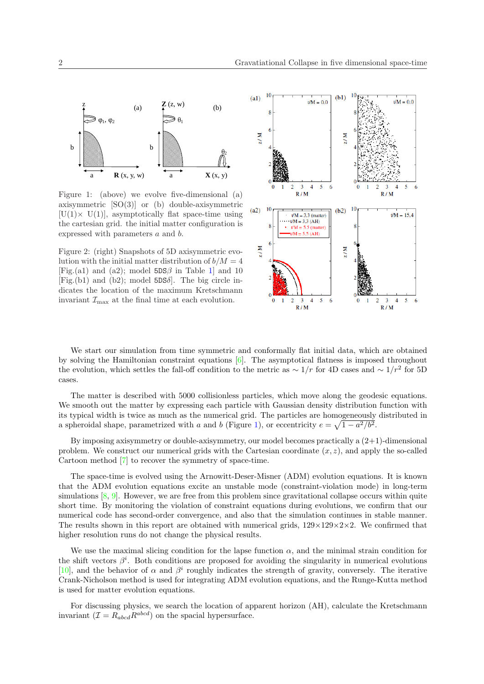<span id="page-1-0"></span>

 Figure 1: (above) we evolve five-dimensional (a) axisymmetric [SO(3)] or (b) double-axisymmetric  $[U(1) \times U(1)]$ , asymptotically flat space-time using the cartesian grid. the initial matter configuration is expressed with parameters *a* and *b*.

Figure 2: (right) Snapshots of 5D axisymmetric evolution with the initial matter distribution of  $b/M = 4$ [Fig.(a1) and (a2); model  $5DS\beta$  in Table 1] and 10  $[Fig. (b1)$  and  $(b2)$ ; model 5DS $\delta$ . The big circle indicates the location of the maximum Kretschmann invariant  $\mathcal{I}_{\text{max}}$  at the final time at each evolution.



We start our simulation from time symmetric and conformally flat initial data, which are obtained by solving the Hamiltonian constraint equations [6]. The asymptotical flatness is imposed throughout the evolution, which settles the fall-off condition to the metric as  $\sim 1/r$  for 4D cases and  $\sim 1/r^2$  for 5D cases.

The matter is described with 5000 collisionles[s p](#page-3-0)articles, which move along the geodesic equations. We smooth out the matter by expressing each particle with Gaussian density distribution function with its typical width is twice as much as the numerical grid. The particles are homogeneously distributed in a spheroidal shape, parametrized with *a* and *b* (Figure 1), or eccentricity  $e = \sqrt{1 - a^2/b^2}$ .

By imposing axisymmetry or double-axisymmetry, our model becomes practically a (2+1)-dimensional problem. We construct our numerical grids with the Cartesian coordinate  $(x, z)$ , and apply the so-called Cartoon method [7] to recover the symmetry of space-time.

The space-time is evolved using the Arnowitt-Deser-Misner (ADM) evolution equations. It is known that the ADM evolution equations excite an unstable mode (constraint-violation mode) in long-term simulations [8, 9]. However, we are free from this problem since gravitational collapse occurs within quite short time. By [mon](#page-3-0)itoring the violation of constraint equations during evolutions, we confirm that our numerical code has second-order convergence, and also that the simulation continues in stable manner. The results shown in this report are obtained with numerical grids,  $129\times129\times2\times2$ . We confirmed that higher resol[ution](#page-3-0) runs do not change the physical results.

We use the maximal slicing condition for the lapse function  $\alpha$ , and the minimal strain condition for the shift vectors  $\beta^i$ . Both conditions are proposed for avoiding the singularity in numerical evolutions [10], and the behavior of  $\alpha$  and  $\beta^i$  roughly indicates the strength of gravity, conversely. The iterative Crank-Nicholson method is used for integrating ADM evolution equations, and the Runge-Kutta method is used for matter evolution equations.

For discussing physics, we search the location of apparent horizon (AH), calculate the Kretschmann [inva](#page-3-0)riant  $(\mathcal{I} = R_{abcd}R^{abcd})$  on the spacial hypersurface.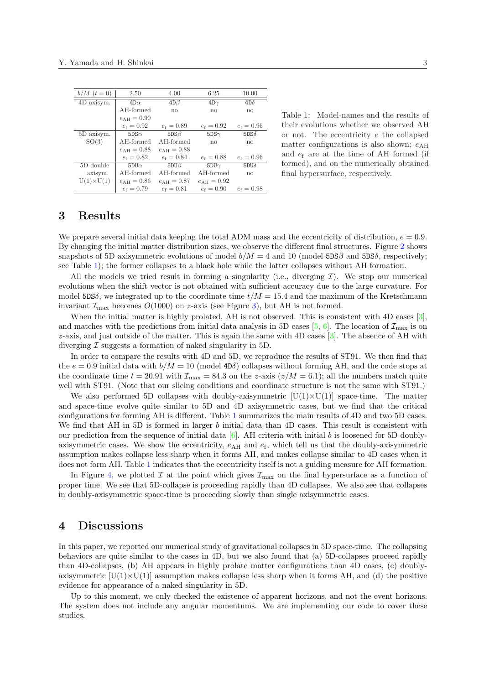<span id="page-2-0"></span>

| $b/M$ $(t = 0)$   | 2.50                   | 4.00                | 6.25                | 10.00            |
|-------------------|------------------------|---------------------|---------------------|------------------|
| 4D axisym.        | $4D\alpha$             | $4D\beta$           | $4D\gamma$          | $4D\delta$       |
|                   | AH-formed              | no                  | no                  | no               |
|                   | $e_{\rm AH} = 0.90$    |                     |                     |                  |
|                   | $e_f = 0.92$           | $e_f = 0.89$        | $e_f = 0.92$        | $e_f = 0.96$     |
| 5D axisym.        | $5DS\alpha$            | $5DS\beta$          | $5DS\gamma$         | $5DS\delta$      |
| SO(3)             | AH-formed              | AH-formed           | no                  | no               |
|                   | $e_{\text{AH}} = 0.88$ | $e_{\rm AH} = 0.88$ |                     |                  |
|                   | $e_{\rm f} = 0.82$     | $e_f = 0.84$        | $e_f = 0.88$        | $e_f = 0.96$     |
| $5D$ double       | $5DU\alpha$            | $5DU\beta$          | 5DU $\gamma$        | 5DU <sub>0</sub> |
| axisym.           | AH-formed              | AH-formed           | AH-formed           | no               |
| $U(1)\times U(1)$ | $e_{\rm AH} = 0.86$    | $e_{\rm AH} = 0.87$ | $e_{\rm AH} = 0.92$ |                  |
|                   | $e_f = 0.79$           | $e_f = 0.81$        | $e_f = 0.90$        | $e_f = 0.98$     |
|                   |                        |                     |                     |                  |

Table 1: Model-names and the results of their evolutions whether we observed AH or not. The eccentricity *e* the collapsed matter configurations is also shown;  $e_{\text{AH}}$ and *e*<sup>f</sup> are at the time of AH formed (if formed), and on the numerically obtained final hypersurface, respectively.

## **3 Results**

We prepare several initial data keeping the total ADM mass and the eccentricity of distribution,  $e = 0.9$ . By changing the initial matter distribution sizes, we observe the different final structures. Figure 2 shows snapshots of 5D axisymmetric evolutions of model  $b/M = 4$  and 10 (model  $5DS\beta$  and  $5DS\delta$ , respectively; see Table 1); the former collapses to a black hole while the latter collapses without AH formation.

All the models we tried result in forming a singularity (i.e., diverging *I*). We stop our numerical evolutions when the shift vector is not obtained with sufficient accuracy due to the large curvat[ur](#page-1-0)e. For model 5DS $\delta$ , we integrated up to the coordinate time  $t/M = 15.4$  and the maximum of the Kretschmann invariant  $\mathcal{I}_{\text{max}}$  becomes  $O(1000)$  on *z*-axis (see Figure 3), but AH is not formed.

When the initial matter is highly prolated, AH is not observed. This is consistent with 4D cases [3], and matches with the predictions from initial data analysis in 5D cases  $[5, 6]$ . The location of  $\mathcal{I}_{\text{max}}$  is on *z*-axis, and just outside of the matter. This is again the same with 4D cases [3]. The absence of AH with diverging *I* suggests a formation of naked singularity [in](#page-3-0) 5D.

In order to compare the results with 4D and 5D, we reproduce the results of ST91. We then find t[ha](#page-3-0)t the  $e = 0.9$  initial data with  $b/M = 10$  (model 4D $\delta$ ) collapses without fo[rmin](#page-3-0)g AH, and the code stops at the coordinate time  $t = 20.91$  with  $\mathcal{I}_{\text{max}} = 84.3$  on the *z*-axis  $(z/M = 6.1)$ ; [all](#page-3-0) the numbers match quite well with ST91. (Note that our slicing conditions and coordinate structure is not the same with ST91.)

We also performed 5D collapses with doubly-axisymmetric  $[U(1)\times U(1)]$  space-time. The matter and space-time evolve quite similar to 5D and 4D axisymmetric cases, but we find that the critical configurations for forming AH is different. Table 1 summarizes the main results of 4D and two 5D cases. We find that AH in 5D is formed in larger *b* initial data than 4D cases. This result is consistent with our prediction from the sequence of initial data [6]. AH criteria with initial *b* is loosened for 5D doublyaxisymmetric cases. We show the eccentricity,  $e_{\text{AH}}$  and  $e_{\text{f}}$ , which tell us that the doubly-axisymmetric assumption makes collapse less sharp when it forms AH, and makes collapse similar to 4D cases when it does not form AH. Table 1 indicates that the eccentricity itself is not a guiding measure for AH formation.

In Figure 4, we plotted  $\mathcal I$  $\mathcal I$  $\mathcal I$  at the point which gives  $\mathcal I_{\max}$  on the final hypersurface as a function of proper time. We see that 5D-collapse is proceeding rapidly than 4D collapses. We also see that collapses in doubly-axisymmetric space-time is proceeding slowly than single axisymmetric cases.

#### **4 Discussions**

In this paper, we reported our numerical study of gravitational collapses in 5D space-time. The collapsing behaviors are quite similar to the cases in 4D, but we also found that (a) 5D-collapses proceed rapidly than 4D-collapses, (b) AH appears in highly prolate matter configurations than 4D cases, (c) doublyaxisymmetric  $|U(1)\times U(1)|$  assumption makes collapse less sharp when it forms AH, and (d) the positive evidence for appearance of a naked singularity in 5D.

Up to this moment, we only checked the existence of apparent horizons, and not the event horizons. The system does not include any angular momentums. We are implementing our code to cover these studies.